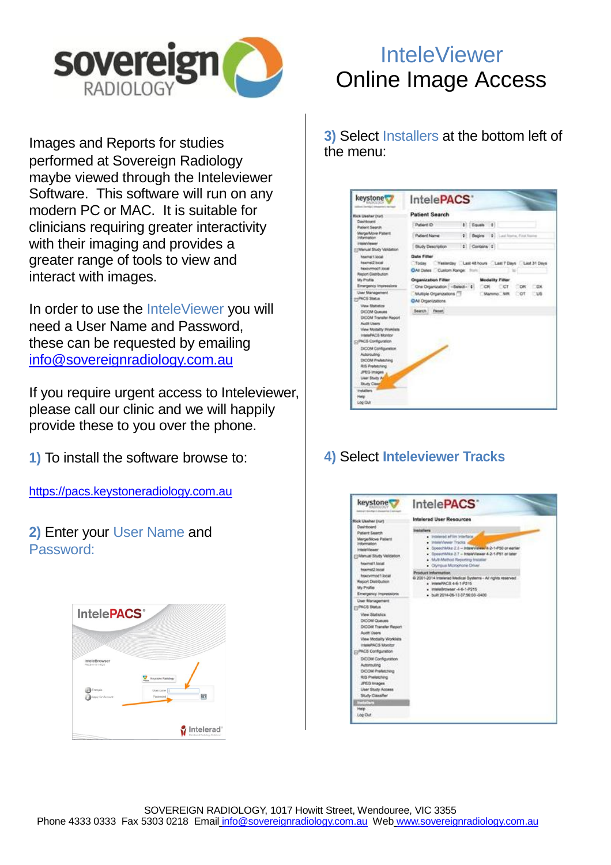

Images and Reports for studies performed at Sovereign Radiology maybe viewed through the Inteleviewer Software. This software will run on any modern PC or MAC. It is suitable for clinicians requiring greater interactivity with their imaging and provides a greater range of tools to view and interact with images.

In order to use the InteleViewer you will need a User Name and Password, these can be requested by emailing [info@sovereignradiology.com.au](mailto:info@sovereignradiology.com.au)

If you require urgent access to Inteleviewer, please call our clinic and we will happily provide these to you over the phone.

**1)** To install the software browse to:

[https://pacs.keystoneradiology.com.au](https://pacs.keystoneradiology.com.au/)

**2)** Enter your User Name and Password:

| IntelePACS®                                                       |                                                            |
|-------------------------------------------------------------------|------------------------------------------------------------|
| InteleBrowser<br>PACS-4-11-1-R25<br>Français<br>Apply for Account | Keystone Radiology<br>Username   <br>同<br>Password         |
|                                                                   | Intelerad <sup>®</sup><br>Distributed Radiology Solutions" |

## InteleViewer Online Image Access

**3)** Select Installers at the bottom left of the menu:

| keystone                                                                                                                                                                                                                                                                                                                                                                                                                                                                                                                                                                                                                                                           | IntelePACS'                                                                                                                                                                                                                                                                                                                                                                                                                                                                                                                              |  |  |  |
|--------------------------------------------------------------------------------------------------------------------------------------------------------------------------------------------------------------------------------------------------------------------------------------------------------------------------------------------------------------------------------------------------------------------------------------------------------------------------------------------------------------------------------------------------------------------------------------------------------------------------------------------------------------------|------------------------------------------------------------------------------------------------------------------------------------------------------------------------------------------------------------------------------------------------------------------------------------------------------------------------------------------------------------------------------------------------------------------------------------------------------------------------------------------------------------------------------------------|--|--|--|
| <b>Rick Usehar Irun</b><br>Davidowd<br>Patient Search<br>Merge-Move Patient<br>Information<br><b>Interviewed</b><br><b>ITMenual Study Validation</b><br><b>Novinal1 local</b><br>hawner2 local<br>heighthout! local<br>Report Diambusion<br>My Profile<br>Emergency Impressions<br><b>User Management</b><br>H-PACS Status<br><b>View Shatetics</b><br><b>DICOM Queues</b><br><b>DICOM Transfer Report</b><br>Audit Users<br>View Mobility Worklass<br>InteriorPACIS Microbor<br>[3] PACS Configuration<br>DICON Configuration<br>Autorouting<br>DICOM Preferening<br><b>RdS Prefetching</b><br>JPEG Images<br>User Stuty Ar<br>Study Class<br>tretaliers<br>Help: | <b>Patient Search</b><br>t Fourth 1<br>Patient (D)<br>2 Begins 2. Loui Norte, First No.<br>Putient Name<br>t Contains t<br><b>Bludy Description</b><br><b>Data Filter</b><br>Vesterday Last 48 hours Last 7 Days Last 31 Days<br>Today<br><b>CIAl Dates Custom Range: Blank</b><br><b>Organization Filter</b><br><b>Modality Filter</b><br>One Organization [ -Select-1<br><b>DOR - 7</b><br><b>CICT</b><br><b>OX</b><br><b>DR</b><br>Multiple Organizations<br>Manmo: MR<br>Cot<br>$\n  u$<br><b>CIAI Organizations</b><br>Search Paset |  |  |  |

## **4)** Select **Inteleviewer Tracks**

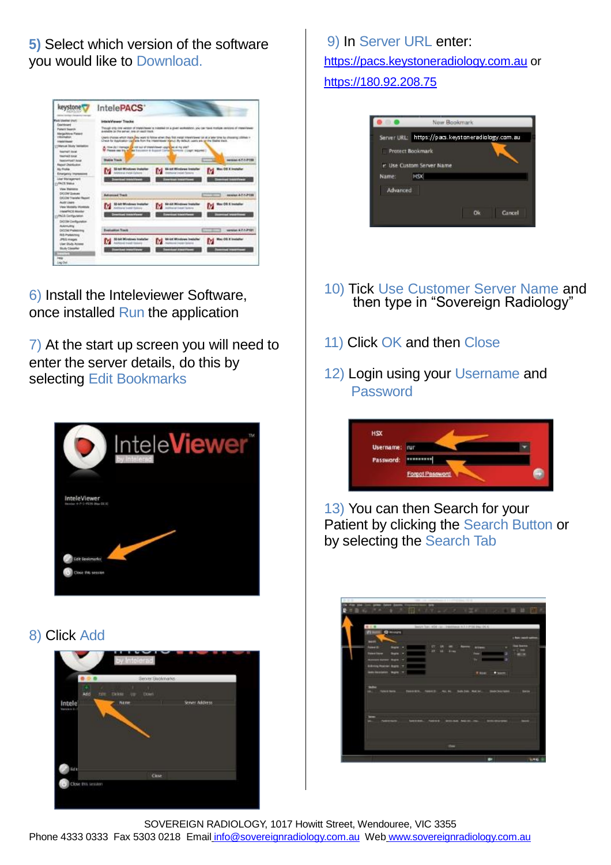**5)** Select which version of the software you would like to Download.



6) Install the Inteleviewer Software, once installed Run the application

7) At the start up screen you will need to enter the server details, do this by selecting Edit Bookmarks



8) Click Add



9) In Server URL enter: [https://pacs.keystoneradiology.com.au](https://pacs.keystoneradiology.com.au/) or [https://180.92.208.75](https://180.92.208.75/)



- 10) Tick Use Customer Server Name and then type in "Sovereign Radiology"
- 11) Click OK and then Close
- 12) Login using your Username and Password



13) You can then Search for your Patient by clicking the Search Button or by selecting the Search Tab

| <b>FERRIE OF HISPS</b> |                                     |                                            |   |                                 |
|------------------------|-------------------------------------|--------------------------------------------|---|---------------------------------|
| <b>Belling</b>         |                                     |                                            |   |                                 |
| <b>Follow III</b>      | $\overline{C}$<br><b>UR</b>         |                                            |   | <b>Gua Guerra</b><br><b>COM</b> |
| <b>Thing Ilane</b>     | $\overline{a}$<br><b>ALC: Lives</b> |                                            | ٠ | FIRESH                          |
|                        |                                     | ÷                                          | _ |                                 |
|                        |                                     |                                            |   |                                 |
| <b>Gold Li</b>         |                                     | <b><i><u><i><b>William</b></i></u></i></b> |   |                                 |
|                        |                                     |                                            |   |                                 |
|                        |                                     |                                            |   |                                 |
|                        |                                     |                                            |   |                                 |

SOVEREIGN RADIOLOGY, 1017 Howitt Street, Wendouree, VIC 3355 Phone 4333 0333 Fax 5303 0218 Email info@sovereignradiology.com.au Web [www.sovereignradiology.com.au](http://www.sovereignradiology.com.au/)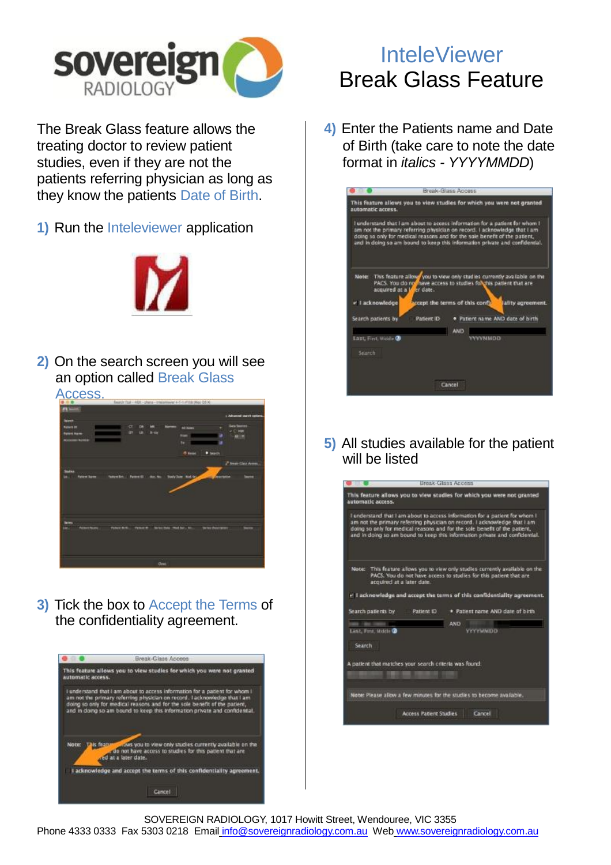

The Break Glass feature allows the treating doctor to review patient studies, even if they are not the patients referring physician as long as they know the patients Date of Birth.

**1)** Run the Inteleviewer application



**2)** On the search screen you will see an option called Break Glass



**3)** Tick the box to Accept the Terms of the confidentiality agreement.



## **InteleViewer** Break Glass Feature

**4)** Enter the Patients name and Date of Birth (take care to note the date format in *italics - YYYYMMDD*)

|                     | <b>Hraak Glace Annaes</b>                                                                                                                                                                                                                                                                                             |                   |
|---------------------|-----------------------------------------------------------------------------------------------------------------------------------------------------------------------------------------------------------------------------------------------------------------------------------------------------------------------|-------------------|
| automatic access.   | This feature allows you to view studies for which you were not granted                                                                                                                                                                                                                                                |                   |
|                     | I understand that I am about to access information for a patient for whom I<br>am not the primary referring physician on record. I acknowledge that I am<br>doing so only for medical reasons and for the sole benefit of the patient,<br>and in doing so am bound to keep this information private and confidential. |                   |
| v i acknowledge     | Note: This feature allows you to view only studies currently available on the<br>PACS. You do not have access to studies follohis patient that are<br>acquired at a Wer date.<br><b>Decept the terms of this confi-</b>                                                                                               | Jality agreement. |
| Search patients by  | · Patient name AND date of hirth<br>Patient ID:                                                                                                                                                                                                                                                                       |                   |
| Last Fint, Middle @ | <b>AND</b><br><b>VVVVMMDD</b>                                                                                                                                                                                                                                                                                         |                   |
| Search              |                                                                                                                                                                                                                                                                                                                       |                   |
|                     | Cancel                                                                                                                                                                                                                                                                                                                |                   |

**5)** All studies available for the patient will be listed



SOVEREIGN RADIOLOGY, 1017 Howitt Street, Wendouree, VIC 3355 Phone 4333 0333 Fax 5303 0218 Email info@sovereignradiology.com.au Web [www.sovereignradiology.com.au](http://www.sovereignradiology.com.au/)